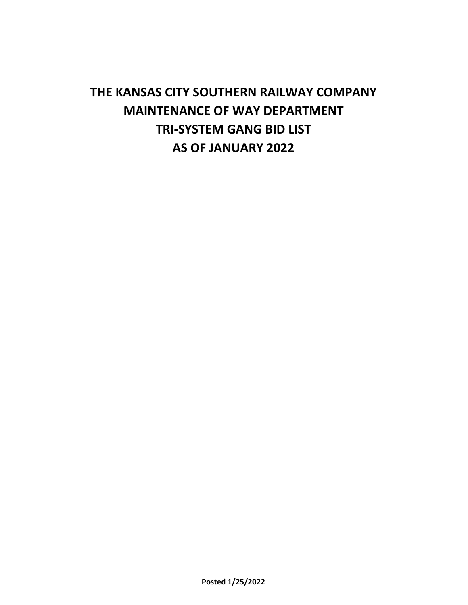# **THE KANSAS CITY SOUTHERN RAILWAY COMPANY MAINTENANCE OF WAY DEPARTMENT TRI-SYSTEM GANG BID LIST AS OF JANUARY 2022**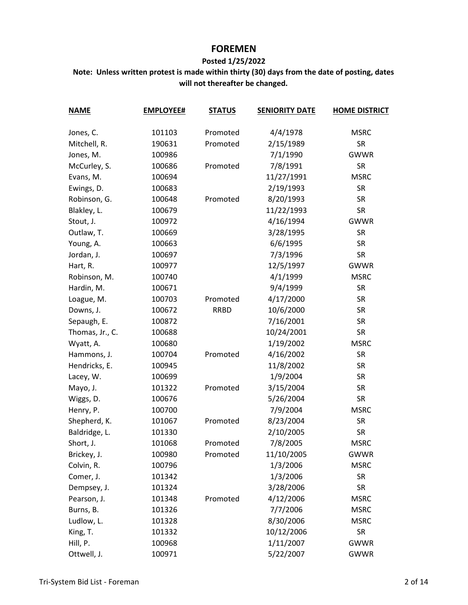# **FOREMEN**

#### **Posted 1/25/2022**

| <b>NAME</b>     | <b>EMPLOYEE#</b> | <b>STATUS</b> | <b>SENIORITY DATE</b> | <b>HOME DISTRICT</b> |
|-----------------|------------------|---------------|-----------------------|----------------------|
| Jones, C.       | 101103           | Promoted      | 4/4/1978              | <b>MSRC</b>          |
| Mitchell, R.    | 190631           | Promoted      | 2/15/1989             | <b>SR</b>            |
| Jones, M.       | 100986           |               | 7/1/1990              | <b>GWWR</b>          |
| McCurley, S.    | 100686           | Promoted      | 7/8/1991              | <b>SR</b>            |
| Evans, M.       | 100694           |               | 11/27/1991            | <b>MSRC</b>          |
| Ewings, D.      | 100683           |               | 2/19/1993             | <b>SR</b>            |
| Robinson, G.    | 100648           | Promoted      | 8/20/1993             | <b>SR</b>            |
| Blakley, L.     | 100679           |               | 11/22/1993            | <b>SR</b>            |
| Stout, J.       | 100972           |               | 4/16/1994             | <b>GWWR</b>          |
| Outlaw, T.      | 100669           |               | 3/28/1995             | <b>SR</b>            |
| Young, A.       | 100663           |               | 6/6/1995              | <b>SR</b>            |
| Jordan, J.      | 100697           |               | 7/3/1996              | <b>SR</b>            |
| Hart, R.        | 100977           |               | 12/5/1997             | <b>GWWR</b>          |
| Robinson, M.    | 100740           |               | 4/1/1999              | <b>MSRC</b>          |
| Hardin, M.      | 100671           |               | 9/4/1999              | <b>SR</b>            |
| Loague, M.      | 100703           | Promoted      | 4/17/2000             | <b>SR</b>            |
| Downs, J.       | 100672           | <b>RRBD</b>   | 10/6/2000             | <b>SR</b>            |
| Sepaugh, E.     | 100872           |               | 7/16/2001             | <b>SR</b>            |
| Thomas, Jr., C. | 100688           |               | 10/24/2001            | <b>SR</b>            |
| Wyatt, A.       | 100680           |               | 1/19/2002             | <b>MSRC</b>          |
| Hammons, J.     | 100704           | Promoted      | 4/16/2002             | <b>SR</b>            |
| Hendricks, E.   | 100945           |               | 11/8/2002             | <b>SR</b>            |
| Lacey, W.       | 100699           |               | 1/9/2004              | <b>SR</b>            |
| Mayo, J.        | 101322           | Promoted      | 3/15/2004             | <b>SR</b>            |
| Wiggs, D.       | 100676           |               | 5/26/2004             | <b>SR</b>            |
| Henry, P.       | 100700           |               | 7/9/2004              | <b>MSRC</b>          |
| Shepherd, K.    | 101067           | Promoted      | 8/23/2004             | <b>SR</b>            |
| Baldridge, L.   | 101330           |               | 2/10/2005             | <b>SR</b>            |
| Short, J.       | 101068           | Promoted      | 7/8/2005              | <b>MSRC</b>          |
| Brickey, J.     | 100980           | Promoted      | 11/10/2005            | <b>GWWR</b>          |
| Colvin, R.      | 100796           |               | 1/3/2006              | <b>MSRC</b>          |
| Comer, J.       | 101342           |               | 1/3/2006              | <b>SR</b>            |
| Dempsey, J.     | 101324           |               | 3/28/2006             | <b>SR</b>            |
| Pearson, J.     | 101348           | Promoted      | 4/12/2006             | <b>MSRC</b>          |
| Burns, B.       | 101326           |               | 7/7/2006              | <b>MSRC</b>          |
| Ludlow, L.      | 101328           |               | 8/30/2006             | <b>MSRC</b>          |
| King, T.        | 101332           |               | 10/12/2006            | <b>SR</b>            |
| Hill, P.        | 100968           |               | 1/11/2007             | <b>GWWR</b>          |
| Ottwell, J.     | 100971           |               | 5/22/2007             | <b>GWWR</b>          |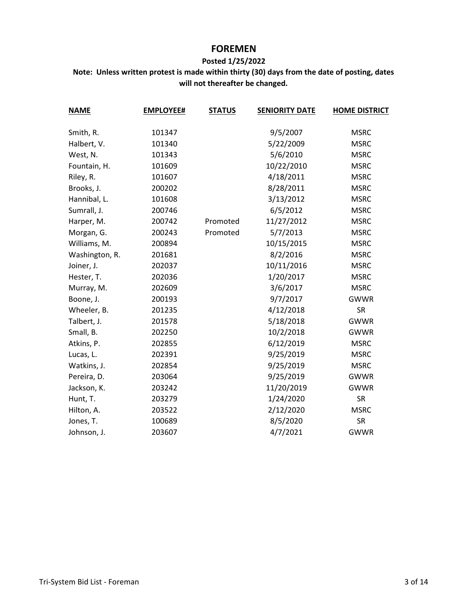# **FOREMEN**

#### **Posted 1/25/2022**

| <b>NAME</b>    | <b>EMPLOYEE#</b> | <b>STATUS</b> | <b>SENIORITY DATE</b> | <b>HOME DISTRICT</b> |
|----------------|------------------|---------------|-----------------------|----------------------|
| Smith, R.      | 101347           |               | 9/5/2007              | <b>MSRC</b>          |
| Halbert, V.    | 101340           |               | 5/22/2009             | <b>MSRC</b>          |
| West, N.       | 101343           |               | 5/6/2010              | <b>MSRC</b>          |
| Fountain, H.   | 101609           |               | 10/22/2010            | <b>MSRC</b>          |
| Riley, R.      | 101607           |               | 4/18/2011             | <b>MSRC</b>          |
| Brooks, J.     | 200202           |               | 8/28/2011             | <b>MSRC</b>          |
| Hannibal, L.   | 101608           |               | 3/13/2012             | <b>MSRC</b>          |
| Sumrall, J.    | 200746           |               | 6/5/2012              | <b>MSRC</b>          |
| Harper, M.     | 200742           | Promoted      | 11/27/2012            | <b>MSRC</b>          |
| Morgan, G.     | 200243           | Promoted      | 5/7/2013              | <b>MSRC</b>          |
| Williams, M.   | 200894           |               | 10/15/2015            | <b>MSRC</b>          |
| Washington, R. | 201681           |               | 8/2/2016              | <b>MSRC</b>          |
| Joiner, J.     | 202037           |               | 10/11/2016            | <b>MSRC</b>          |
| Hester, T.     | 202036           |               | 1/20/2017             | <b>MSRC</b>          |
| Murray, M.     | 202609           |               | 3/6/2017              | <b>MSRC</b>          |
| Boone, J.      | 200193           |               | 9/7/2017              | <b>GWWR</b>          |
| Wheeler, B.    | 201235           |               | 4/12/2018             | <b>SR</b>            |
| Talbert, J.    | 201578           |               | 5/18/2018             | <b>GWWR</b>          |
| Small, B.      | 202250           |               | 10/2/2018             | <b>GWWR</b>          |
| Atkins, P.     | 202855           |               | 6/12/2019             | <b>MSRC</b>          |
| Lucas, L.      | 202391           |               | 9/25/2019             | <b>MSRC</b>          |
| Watkins, J.    | 202854           |               | 9/25/2019             | <b>MSRC</b>          |
| Pereira, D.    | 203064           |               | 9/25/2019             | <b>GWWR</b>          |
| Jackson, K.    | 203242           |               | 11/20/2019            | <b>GWWR</b>          |
| Hunt, T.       | 203279           |               | 1/24/2020             | <b>SR</b>            |
| Hilton, A.     | 203522           |               | 2/12/2020             | <b>MSRC</b>          |
| Jones, T.      | 100689           |               | 8/5/2020              | <b>SR</b>            |
| Johnson, J.    | 203607           |               | 4/7/2021              | <b>GWWR</b>          |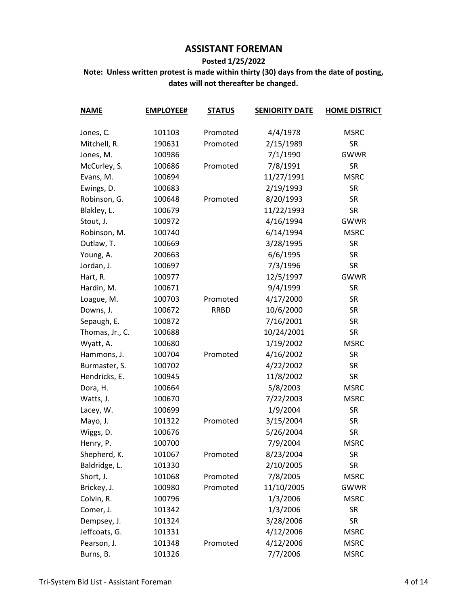# **ASSISTANT FOREMAN**

#### **Posted 1/25/2022**

| <b>NAME</b>     | <b>EMPLOYEE#</b> | <b>STATUS</b> | <b>SENIORITY DATE</b> | <b>HOME DISTRICT</b> |
|-----------------|------------------|---------------|-----------------------|----------------------|
| Jones, C.       | 101103           | Promoted      | 4/4/1978              | <b>MSRC</b>          |
| Mitchell, R.    | 190631           | Promoted      | 2/15/1989             | <b>SR</b>            |
| Jones, M.       | 100986           |               | 7/1/1990              | <b>GWWR</b>          |
| McCurley, S.    | 100686           | Promoted      | 7/8/1991              | <b>SR</b>            |
| Evans, M.       | 100694           |               | 11/27/1991            | <b>MSRC</b>          |
| Ewings, D.      | 100683           |               | 2/19/1993             | <b>SR</b>            |
| Robinson, G.    | 100648           | Promoted      | 8/20/1993             | <b>SR</b>            |
| Blakley, L.     | 100679           |               | 11/22/1993            | <b>SR</b>            |
| Stout, J.       | 100972           |               | 4/16/1994             | <b>GWWR</b>          |
| Robinson, M.    | 100740           |               | 6/14/1994             | <b>MSRC</b>          |
| Outlaw, T.      | 100669           |               | 3/28/1995             | <b>SR</b>            |
| Young, A.       | 200663           |               | 6/6/1995              | <b>SR</b>            |
| Jordan, J.      | 100697           |               | 7/3/1996              | <b>SR</b>            |
| Hart, R.        | 100977           |               | 12/5/1997             | <b>GWWR</b>          |
| Hardin, M.      | 100671           |               | 9/4/1999              | <b>SR</b>            |
| Loague, M.      | 100703           | Promoted      | 4/17/2000             | <b>SR</b>            |
| Downs, J.       | 100672           | <b>RRBD</b>   | 10/6/2000             | <b>SR</b>            |
| Sepaugh, E.     | 100872           |               | 7/16/2001             | <b>SR</b>            |
| Thomas, Jr., C. | 100688           |               | 10/24/2001            | <b>SR</b>            |
| Wyatt, A.       | 100680           |               | 1/19/2002             | <b>MSRC</b>          |
| Hammons, J.     | 100704           | Promoted      | 4/16/2002             | <b>SR</b>            |
| Burmaster, S.   | 100702           |               | 4/22/2002             | <b>SR</b>            |
| Hendricks, E.   | 100945           |               | 11/8/2002             | <b>SR</b>            |
| Dora, H.        | 100664           |               | 5/8/2003              | <b>MSRC</b>          |
| Watts, J.       | 100670           |               | 7/22/2003             | <b>MSRC</b>          |
| Lacey, W.       | 100699           |               | 1/9/2004              | <b>SR</b>            |
| Mayo, J.        | 101322           | Promoted      | 3/15/2004             | <b>SR</b>            |
| Wiggs, D.       | 100676           |               | 5/26/2004             | <b>SR</b>            |
| Henry, P.       | 100700           |               | 7/9/2004              | <b>MSRC</b>          |
| Shepherd, K.    | 101067           | Promoted      | 8/23/2004             | <b>SR</b>            |
| Baldridge, L.   | 101330           |               | 2/10/2005             | <b>SR</b>            |
| Short, J.       | 101068           | Promoted      | 7/8/2005              | <b>MSRC</b>          |
| Brickey, J.     | 100980           | Promoted      | 11/10/2005            | <b>GWWR</b>          |
| Colvin, R.      | 100796           |               | 1/3/2006              | <b>MSRC</b>          |
| Comer, J.       | 101342           |               | 1/3/2006              | <b>SR</b>            |
| Dempsey, J.     | 101324           |               | 3/28/2006             | <b>SR</b>            |
| Jeffcoats, G.   | 101331           |               | 4/12/2006             | <b>MSRC</b>          |
| Pearson, J.     | 101348           | Promoted      | 4/12/2006             | <b>MSRC</b>          |
| Burns, B.       | 101326           |               | 7/7/2006              | <b>MSRC</b>          |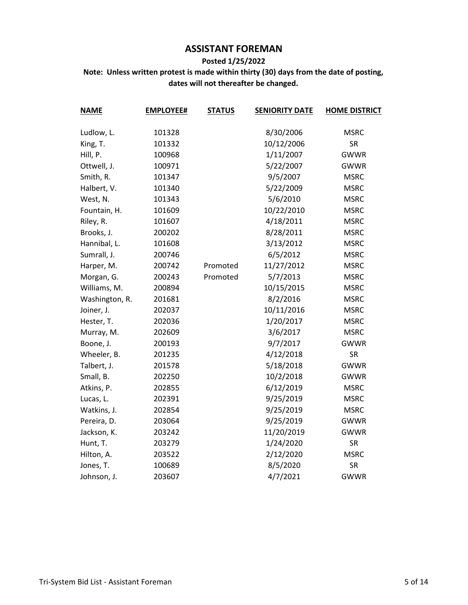# **ASSISTANT FOREMAN**

#### **Posted 1/25/2022**

| <b>NAME</b>    | <b>EMPLOYEE#</b> | <b>STATUS</b> | <b>SENIORITY DATE</b> | <b>HOME DISTRICT</b> |
|----------------|------------------|---------------|-----------------------|----------------------|
|                |                  |               |                       |                      |
| Ludlow, L.     | 101328           |               | 8/30/2006             | <b>MSRC</b>          |
| King, T.       | 101332           |               | 10/12/2006            | <b>SR</b>            |
| Hill, P.       | 100968           |               | 1/11/2007             | <b>GWWR</b>          |
| Ottwell, J.    | 100971           |               | 5/22/2007             | <b>GWWR</b>          |
| Smith, R.      | 101347           |               | 9/5/2007              | <b>MSRC</b>          |
| Halbert, V.    | 101340           |               | 5/22/2009             | <b>MSRC</b>          |
| West, N.       | 101343           |               | 5/6/2010              | <b>MSRC</b>          |
| Fountain, H.   | 101609           |               | 10/22/2010            | <b>MSRC</b>          |
| Riley, R.      | 101607           |               | 4/18/2011             | <b>MSRC</b>          |
| Brooks, J.     | 200202           |               | 8/28/2011             | <b>MSRC</b>          |
| Hannibal, L.   | 101608           |               | 3/13/2012             | <b>MSRC</b>          |
| Sumrall, J.    | 200746           |               | 6/5/2012              | <b>MSRC</b>          |
| Harper, M.     | 200742           | Promoted      | 11/27/2012            | <b>MSRC</b>          |
| Morgan, G.     | 200243           | Promoted      | 5/7/2013              | <b>MSRC</b>          |
| Williams, M.   | 200894           |               | 10/15/2015            | <b>MSRC</b>          |
| Washington, R. | 201681           |               | 8/2/2016              | <b>MSRC</b>          |
| Joiner, J.     | 202037           |               | 10/11/2016            | <b>MSRC</b>          |
| Hester, T.     | 202036           |               | 1/20/2017             | <b>MSRC</b>          |
| Murray, M.     | 202609           |               | 3/6/2017              | <b>MSRC</b>          |
| Boone, J.      | 200193           |               | 9/7/2017              | <b>GWWR</b>          |
| Wheeler, B.    | 201235           |               | 4/12/2018             | <b>SR</b>            |
| Talbert, J.    | 201578           |               | 5/18/2018             | <b>GWWR</b>          |
| Small, B.      | 202250           |               | 10/2/2018             | <b>GWWR</b>          |
| Atkins, P.     | 202855           |               | 6/12/2019             | <b>MSRC</b>          |
| Lucas, L.      | 202391           |               | 9/25/2019             | <b>MSRC</b>          |
| Watkins, J.    | 202854           |               | 9/25/2019             | <b>MSRC</b>          |
| Pereira, D.    | 203064           |               | 9/25/2019             | <b>GWWR</b>          |
| Jackson, K.    | 203242           |               | 11/20/2019            | <b>GWWR</b>          |
| Hunt, T.       | 203279           |               | 1/24/2020             | <b>SR</b>            |
| Hilton, A.     | 203522           |               | 2/12/2020             | <b>MSRC</b>          |
| Jones, T.      | 100689           |               | 8/5/2020              | <b>SR</b>            |
| Johnson, J.    | 203607           |               | 4/7/2021              | GWWR                 |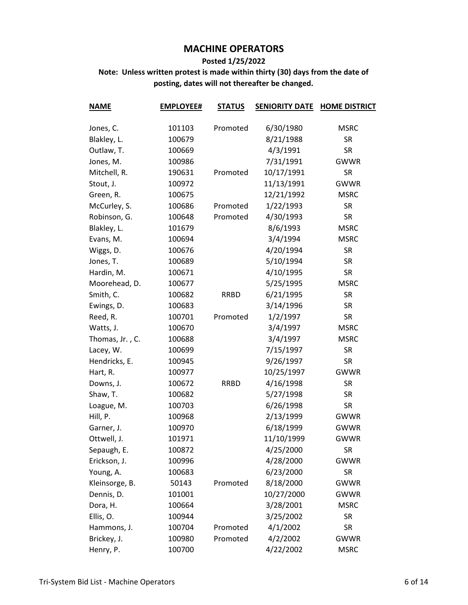#### **Posted 1/25/2022**

| <b>NAME</b>     | <b>EMPLOYEE#</b> | <b>STATUS</b> | <b>SENIORITY DATE</b> | <b>HOME DISTRICT</b> |
|-----------------|------------------|---------------|-----------------------|----------------------|
| Jones, C.       | 101103           | Promoted      | 6/30/1980             | <b>MSRC</b>          |
| Blakley, L.     | 100679           |               | 8/21/1988             | <b>SR</b>            |
| Outlaw, T.      | 100669           |               | 4/3/1991              | <b>SR</b>            |
| Jones, M.       | 100986           |               | 7/31/1991             | <b>GWWR</b>          |
| Mitchell, R.    | 190631           | Promoted      | 10/17/1991            | <b>SR</b>            |
|                 |                  |               | 11/13/1991            | <b>GWWR</b>          |
| Stout, J.       | 100972           |               |                       | <b>MSRC</b>          |
| Green, R.       | 100675           |               | 12/21/1992            |                      |
| McCurley, S.    | 100686           | Promoted      | 1/22/1993             | <b>SR</b>            |
| Robinson, G.    | 100648           | Promoted      | 4/30/1993             | <b>SR</b>            |
| Blakley, L.     | 101679           |               | 8/6/1993              | <b>MSRC</b>          |
| Evans, M.       | 100694           |               | 3/4/1994              | <b>MSRC</b>          |
| Wiggs, D.       | 100676           |               | 4/20/1994             | <b>SR</b>            |
| Jones, T.       | 100689           |               | 5/10/1994             | <b>SR</b>            |
| Hardin, M.      | 100671           |               | 4/10/1995             | <b>SR</b>            |
| Moorehead, D.   | 100677           |               | 5/25/1995             | <b>MSRC</b>          |
| Smith, C.       | 100682           | <b>RRBD</b>   | 6/21/1995             | <b>SR</b>            |
| Ewings, D.      | 100683           |               | 3/14/1996             | <b>SR</b>            |
| Reed, R.        | 100701           | Promoted      | 1/2/1997              | <b>SR</b>            |
| Watts, J.       | 100670           |               | 3/4/1997              | <b>MSRC</b>          |
| Thomas, Jr., C. | 100688           |               | 3/4/1997              | <b>MSRC</b>          |
| Lacey, W.       | 100699           |               | 7/15/1997             | <b>SR</b>            |
| Hendricks, E.   | 100945           |               | 9/26/1997             | <b>SR</b>            |
| Hart, R.        | 100977           |               | 10/25/1997            | <b>GWWR</b>          |
| Downs, J.       | 100672           | <b>RRBD</b>   | 4/16/1998             | <b>SR</b>            |
| Shaw, T.        | 100682           |               | 5/27/1998             | <b>SR</b>            |
| Loague, M.      | 100703           |               | 6/26/1998             | <b>SR</b>            |
| Hill, P.        | 100968           |               | 2/13/1999             | <b>GWWR</b>          |
| Garner, J.      | 100970           |               | 6/18/1999             | <b>GWWR</b>          |
| Ottwell, J.     | 101971           |               | 11/10/1999            | <b>GWWR</b>          |
| Sepaugh, E.     | 100872           |               | 4/25/2000             | <b>SR</b>            |
| Erickson, J.    | 100996           |               | 4/28/2000             | <b>GWWR</b>          |
| Young, A.       | 100683           |               | 6/23/2000             | <b>SR</b>            |
| Kleinsorge, B.  | 50143            | Promoted      | 8/18/2000             | <b>GWWR</b>          |
| Dennis, D.      | 101001           |               | 10/27/2000            | <b>GWWR</b>          |
| Dora, H.        | 100664           |               | 3/28/2001             | <b>MSRC</b>          |
| Ellis, O.       | 100944           |               | 3/25/2002             | <b>SR</b>            |
| Hammons, J.     | 100704           | Promoted      | 4/1/2002              | <b>SR</b>            |
| Brickey, J.     | 100980           | Promoted      | 4/2/2002              | <b>GWWR</b>          |
| Henry, P.       | 100700           |               | 4/22/2002             | <b>MSRC</b>          |
|                 |                  |               |                       |                      |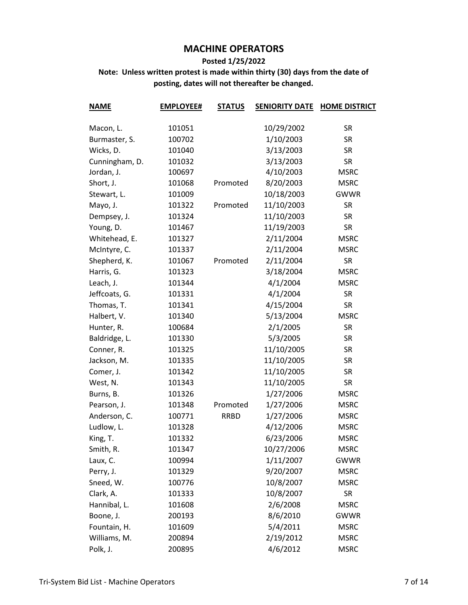#### **Posted 1/25/2022**

| <b>NAME</b>    | <b>EMPLOYEE#</b> | <b>STATUS</b> | <b>SENIORITY DATE</b> | <b>HOME DISTRICT</b> |
|----------------|------------------|---------------|-----------------------|----------------------|
|                |                  |               |                       |                      |
| Macon, L.      | 101051           |               | 10/29/2002            | <b>SR</b>            |
| Burmaster, S.  | 100702           |               | 1/10/2003             | <b>SR</b>            |
| Wicks, D.      | 101040           |               | 3/13/2003             | <b>SR</b>            |
| Cunningham, D. | 101032           |               | 3/13/2003             | <b>SR</b>            |
| Jordan, J.     | 100697           |               | 4/10/2003             | <b>MSRC</b>          |
| Short, J.      | 101068           | Promoted      | 8/20/2003             | <b>MSRC</b>          |
| Stewart, L.    | 101009           |               | 10/18/2003            | <b>GWWR</b>          |
| Mayo, J.       | 101322           | Promoted      | 11/10/2003            | <b>SR</b>            |
| Dempsey, J.    | 101324           |               | 11/10/2003            | <b>SR</b>            |
| Young, D.      | 101467           |               | 11/19/2003            | <b>SR</b>            |
| Whitehead, E.  | 101327           |               | 2/11/2004             | <b>MSRC</b>          |
| McIntyre, C.   | 101337           |               | 2/11/2004             | <b>MSRC</b>          |
| Shepherd, K.   | 101067           | Promoted      | 2/11/2004             | <b>SR</b>            |
| Harris, G.     | 101323           |               | 3/18/2004             | <b>MSRC</b>          |
| Leach, J.      | 101344           |               | 4/1/2004              | <b>MSRC</b>          |
| Jeffcoats, G.  | 101331           |               | 4/1/2004              | <b>SR</b>            |
| Thomas, T.     | 101341           |               | 4/15/2004             | <b>SR</b>            |
| Halbert, V.    | 101340           |               | 5/13/2004             | <b>MSRC</b>          |
| Hunter, R.     | 100684           |               | 2/1/2005              | <b>SR</b>            |
| Baldridge, L.  | 101330           |               | 5/3/2005              | <b>SR</b>            |
| Conner, R.     | 101325           |               | 11/10/2005            | <b>SR</b>            |
| Jackson, M.    | 101335           |               | 11/10/2005            | <b>SR</b>            |
| Comer, J.      | 101342           |               | 11/10/2005            | <b>SR</b>            |
| West, N.       | 101343           |               | 11/10/2005            | <b>SR</b>            |
| Burns, B.      | 101326           |               | 1/27/2006             | <b>MSRC</b>          |
| Pearson, J.    | 101348           | Promoted      | 1/27/2006             | <b>MSRC</b>          |
| Anderson, C.   | 100771           | <b>RRBD</b>   | 1/27/2006             | <b>MSRC</b>          |
| Ludlow, L.     | 101328           |               | 4/12/2006             | <b>MSRC</b>          |
| King, T.       | 101332           |               | 6/23/2006             | <b>MSRC</b>          |
| Smith, R.      | 101347           |               | 10/27/2006            | <b>MSRC</b>          |
| Laux, C.       | 100994           |               | 1/11/2007             | <b>GWWR</b>          |
| Perry, J.      | 101329           |               | 9/20/2007             | <b>MSRC</b>          |
| Sneed, W.      | 100776           |               | 10/8/2007             | <b>MSRC</b>          |
| Clark, A.      | 101333           |               | 10/8/2007             | <b>SR</b>            |
| Hannibal, L.   | 101608           |               | 2/6/2008              | <b>MSRC</b>          |
| Boone, J.      | 200193           |               | 8/6/2010              | GWWR                 |
| Fountain, H.   | 101609           |               | 5/4/2011              | <b>MSRC</b>          |
| Williams, M.   | 200894           |               | 2/19/2012             | <b>MSRC</b>          |
| Polk, J.       | 200895           |               | 4/6/2012              | <b>MSRC</b>          |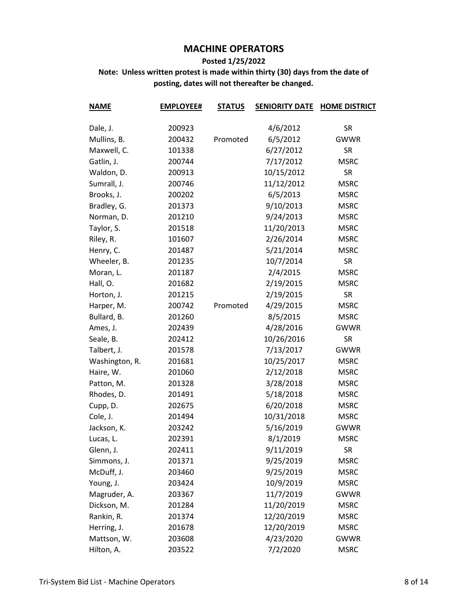#### **Posted 1/25/2022**

| <b>NAME</b>    | <b>EMPLOYEE#</b> | <b>STATUS</b> | <b>SENIORITY DATE</b> | <b>HOME DISTRICT</b> |
|----------------|------------------|---------------|-----------------------|----------------------|
|                |                  |               |                       |                      |
| Dale, J.       | 200923           |               | 4/6/2012              | <b>SR</b>            |
| Mullins, B.    | 200432           | Promoted      | 6/5/2012              | <b>GWWR</b>          |
| Maxwell, C.    | 101338           |               | 6/27/2012             | <b>SR</b>            |
| Gatlin, J.     | 200744           |               | 7/17/2012             | <b>MSRC</b>          |
| Waldon, D.     | 200913           |               | 10/15/2012            | <b>SR</b>            |
| Sumrall, J.    | 200746           |               | 11/12/2012            | <b>MSRC</b>          |
| Brooks, J.     | 200202           |               | 6/5/2013              | <b>MSRC</b>          |
| Bradley, G.    | 201373           |               | 9/10/2013             | <b>MSRC</b>          |
| Norman, D.     | 201210           |               | 9/24/2013             | <b>MSRC</b>          |
| Taylor, S.     | 201518           |               | 11/20/2013            | <b>MSRC</b>          |
| Riley, R.      | 101607           |               | 2/26/2014             | <b>MSRC</b>          |
| Henry, C.      | 201487           |               | 5/21/2014             | <b>MSRC</b>          |
| Wheeler, B.    | 201235           |               | 10/7/2014             | <b>SR</b>            |
| Moran, L.      | 201187           |               | 2/4/2015              | <b>MSRC</b>          |
| Hall, O.       | 201682           |               | 2/19/2015             | <b>MSRC</b>          |
| Horton, J.     | 201215           |               | 2/19/2015             | <b>SR</b>            |
| Harper, M.     | 200742           | Promoted      | 4/29/2015             | <b>MSRC</b>          |
| Bullard, B.    | 201260           |               | 8/5/2015              | <b>MSRC</b>          |
| Ames, J.       | 202439           |               | 4/28/2016             | <b>GWWR</b>          |
| Seale, B.      | 202412           |               | 10/26/2016            | <b>SR</b>            |
| Talbert, J.    | 201578           |               | 7/13/2017             | <b>GWWR</b>          |
| Washington, R. | 201681           |               | 10/25/2017            | <b>MSRC</b>          |
| Haire, W.      | 201060           |               | 2/12/2018             | <b>MSRC</b>          |
| Patton, M.     | 201328           |               | 3/28/2018             | <b>MSRC</b>          |
| Rhodes, D.     | 201491           |               | 5/18/2018             | <b>MSRC</b>          |
| Cupp, D.       | 202675           |               | 6/20/2018             | <b>MSRC</b>          |
| Cole, J.       | 201494           |               | 10/31/2018            | <b>MSRC</b>          |
| Jackson, K.    | 203242           |               | 5/16/2019             | <b>GWWR</b>          |
| Lucas, L.      | 202391           |               | 8/1/2019              | <b>MSRC</b>          |
| Glenn, J.      | 202411           |               | 9/11/2019             | SR                   |
| Simmons, J.    | 201371           |               | 9/25/2019             | <b>MSRC</b>          |
| McDuff, J.     | 203460           |               | 9/25/2019             | <b>MSRC</b>          |
| Young, J.      | 203424           |               | 10/9/2019             | <b>MSRC</b>          |
| Magruder, A.   | 203367           |               | 11/7/2019             | <b>GWWR</b>          |
| Dickson, M.    | 201284           |               | 11/20/2019            | <b>MSRC</b>          |
| Rankin, R.     | 201374           |               | 12/20/2019            | <b>MSRC</b>          |
| Herring, J.    | 201678           |               | 12/20/2019            | <b>MSRC</b>          |
| Mattson, W.    | 203608           |               | 4/23/2020             | GWWR                 |
| Hilton, A.     | 203522           |               | 7/2/2020              | <b>MSRC</b>          |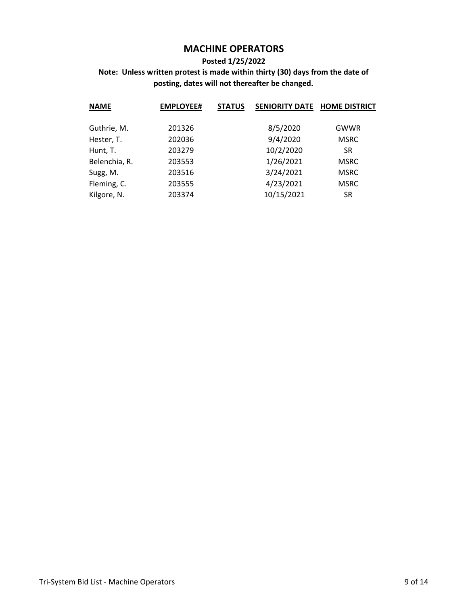#### **Posted 1/25/2022**

| <b>NAME</b>   | <b>EMPLOYEE#</b> | <b>STATUS</b> | <b>SENIORITY DATE</b> | <b>HOME DISTRICT</b> |
|---------------|------------------|---------------|-----------------------|----------------------|
|               |                  |               |                       |                      |
| Guthrie, M.   | 201326           |               | 8/5/2020              | GWWR                 |
| Hester, T.    | 202036           |               | 9/4/2020              | <b>MSRC</b>          |
| Hunt, T.      | 203279           |               | 10/2/2020             | <b>SR</b>            |
| Belenchia, R. | 203553           |               | 1/26/2021             | <b>MSRC</b>          |
| Sugg, M.      | 203516           |               | 3/24/2021             | <b>MSRC</b>          |
| Fleming, C.   | 203555           |               | 4/23/2021             | <b>MSRC</b>          |
| Kilgore, N.   | 203374           |               | 10/15/2021            | <b>SR</b>            |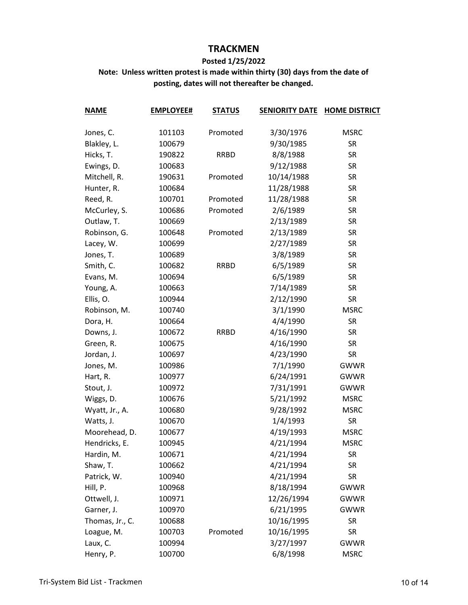#### **Posted 1/25/2022**

| <b>NAME</b>     | <b>EMPLOYEE#</b> | <b>STATUS</b> | <b>SENIORITY DATE</b> | <b>HOME DISTRICT</b> |
|-----------------|------------------|---------------|-----------------------|----------------------|
|                 |                  |               |                       |                      |
| Jones, C.       | 101103           | Promoted      | 3/30/1976             | <b>MSRC</b>          |
| Blakley, L.     | 100679           |               | 9/30/1985             | <b>SR</b>            |
| Hicks, T.       | 190822           | <b>RRBD</b>   | 8/8/1988              | <b>SR</b>            |
| Ewings, D.      | 100683           |               | 9/12/1988             | <b>SR</b>            |
| Mitchell, R.    | 190631           | Promoted      | 10/14/1988            | <b>SR</b>            |
| Hunter, R.      | 100684           |               | 11/28/1988            | <b>SR</b>            |
| Reed, R.        | 100701           | Promoted      | 11/28/1988            | <b>SR</b>            |
| McCurley, S.    | 100686           | Promoted      | 2/6/1989              | <b>SR</b>            |
| Outlaw, T.      | 100669           |               | 2/13/1989             | <b>SR</b>            |
| Robinson, G.    | 100648           | Promoted      | 2/13/1989             | <b>SR</b>            |
| Lacey, W.       | 100699           |               | 2/27/1989             | <b>SR</b>            |
| Jones, T.       | 100689           |               | 3/8/1989              | <b>SR</b>            |
| Smith, C.       | 100682           | <b>RRBD</b>   | 6/5/1989              | <b>SR</b>            |
| Evans, M.       | 100694           |               | 6/5/1989              | <b>SR</b>            |
| Young, A.       | 100663           |               | 7/14/1989             | <b>SR</b>            |
| Ellis, O.       | 100944           |               | 2/12/1990             | <b>SR</b>            |
| Robinson, M.    | 100740           |               | 3/1/1990              | <b>MSRC</b>          |
| Dora, H.        | 100664           |               | 4/4/1990              | <b>SR</b>            |
| Downs, J.       | 100672           | <b>RRBD</b>   | 4/16/1990             | <b>SR</b>            |
| Green, R.       | 100675           |               | 4/16/1990             | <b>SR</b>            |
| Jordan, J.      | 100697           |               | 4/23/1990             | <b>SR</b>            |
| Jones, M.       | 100986           |               | 7/1/1990              | <b>GWWR</b>          |
| Hart, R.        | 100977           |               | 6/24/1991             | <b>GWWR</b>          |
| Stout, J.       | 100972           |               | 7/31/1991             | <b>GWWR</b>          |
| Wiggs, D.       | 100676           |               | 5/21/1992             | <b>MSRC</b>          |
| Wyatt, Jr., A.  | 100680           |               | 9/28/1992             | <b>MSRC</b>          |
| Watts, J.       | 100670           |               | 1/4/1993              | <b>SR</b>            |
| Moorehead, D.   | 100677           |               | 4/19/1993             | <b>MSRC</b>          |
| Hendricks, E.   | 100945           |               | 4/21/1994             | <b>MSRC</b>          |
| Hardin, M.      | 100671           |               | 4/21/1994             | SR                   |
| Shaw, T.        | 100662           |               | 4/21/1994             | <b>SR</b>            |
| Patrick, W.     | 100940           |               | 4/21/1994             | <b>SR</b>            |
| Hill, P.        | 100968           |               | 8/18/1994             | <b>GWWR</b>          |
| Ottwell, J.     | 100971           |               | 12/26/1994            | <b>GWWR</b>          |
| Garner, J.      | 100970           |               | 6/21/1995             | <b>GWWR</b>          |
| Thomas, Jr., C. | 100688           |               | 10/16/1995            | <b>SR</b>            |
| Loague, M.      | 100703           | Promoted      | 10/16/1995            | <b>SR</b>            |
| Laux, C.        | 100994           |               | 3/27/1997             | <b>GWWR</b>          |
| Henry, P.       | 100700           |               | 6/8/1998              | <b>MSRC</b>          |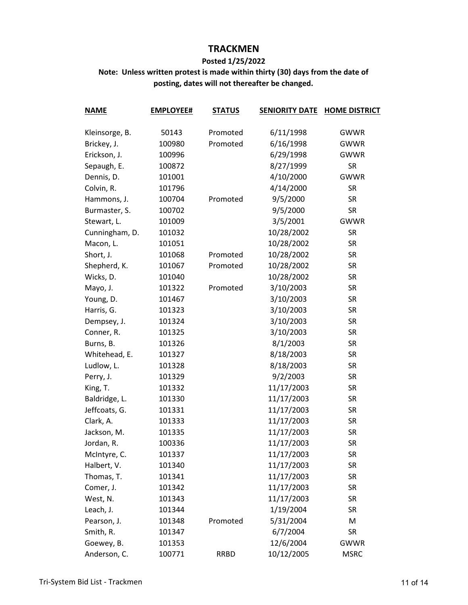#### **Posted 1/25/2022**

| <b>NAME</b>    | <b>EMPLOYEE#</b> | <b>STATUS</b> | <b>SENIORITY DATE</b> | <b>HOME DISTRICT</b> |
|----------------|------------------|---------------|-----------------------|----------------------|
|                |                  |               |                       |                      |
| Kleinsorge, B. | 50143            | Promoted      | 6/11/1998             | <b>GWWR</b>          |
| Brickey, J.    | 100980           | Promoted      | 6/16/1998             | <b>GWWR</b>          |
| Erickson, J.   | 100996           |               | 6/29/1998             | <b>GWWR</b>          |
| Sepaugh, E.    | 100872           |               | 8/27/1999             | <b>SR</b>            |
| Dennis, D.     | 101001           |               | 4/10/2000             | <b>GWWR</b>          |
| Colvin, R.     | 101796           |               | 4/14/2000             | <b>SR</b>            |
| Hammons, J.    | 100704           | Promoted      | 9/5/2000              | <b>SR</b>            |
| Burmaster, S.  | 100702           |               | 9/5/2000              | <b>SR</b>            |
| Stewart, L.    | 101009           |               | 3/5/2001              | <b>GWWR</b>          |
| Cunningham, D. | 101032           |               | 10/28/2002            | <b>SR</b>            |
| Macon, L.      | 101051           |               | 10/28/2002            | <b>SR</b>            |
| Short, J.      | 101068           | Promoted      | 10/28/2002            | <b>SR</b>            |
| Shepherd, K.   | 101067           | Promoted      | 10/28/2002            | <b>SR</b>            |
| Wicks, D.      | 101040           |               | 10/28/2002            | <b>SR</b>            |
| Mayo, J.       | 101322           | Promoted      | 3/10/2003             | <b>SR</b>            |
| Young, D.      | 101467           |               | 3/10/2003             | <b>SR</b>            |
| Harris, G.     | 101323           |               | 3/10/2003             | <b>SR</b>            |
| Dempsey, J.    | 101324           |               | 3/10/2003             | <b>SR</b>            |
| Conner, R.     | 101325           |               | 3/10/2003             | <b>SR</b>            |
| Burns, B.      | 101326           |               | 8/1/2003              | <b>SR</b>            |
| Whitehead, E.  | 101327           |               | 8/18/2003             | <b>SR</b>            |
| Ludlow, L.     | 101328           |               | 8/18/2003             | <b>SR</b>            |
| Perry, J.      | 101329           |               | 9/2/2003              | <b>SR</b>            |
| King, T.       | 101332           |               | 11/17/2003            | <b>SR</b>            |
| Baldridge, L.  | 101330           |               | 11/17/2003            | <b>SR</b>            |
| Jeffcoats, G.  | 101331           |               | 11/17/2003            | <b>SR</b>            |
| Clark, A.      | 101333           |               | 11/17/2003            | <b>SR</b>            |
| Jackson, M.    | 101335           |               | 11/17/2003            | <b>SR</b>            |
| Jordan, R.     | 100336           |               | 11/17/2003            | <b>SR</b>            |
| McIntyre, C.   | 101337           |               | 11/17/2003            | SR                   |
| Halbert, V.    | 101340           |               | 11/17/2003            | <b>SR</b>            |
| Thomas, T.     | 101341           |               | 11/17/2003            | <b>SR</b>            |
| Comer, J.      | 101342           |               | 11/17/2003            | <b>SR</b>            |
| West, N.       | 101343           |               | 11/17/2003            | <b>SR</b>            |
| Leach, J.      | 101344           |               | 1/19/2004             | <b>SR</b>            |
| Pearson, J.    | 101348           | Promoted      | 5/31/2004             | M                    |
| Smith, R.      | 101347           |               | 6/7/2004              | <b>SR</b>            |
| Goewey, B.     | 101353           |               | 12/6/2004             | <b>GWWR</b>          |
| Anderson, C.   | 100771           | <b>RRBD</b>   | 10/12/2005            | <b>MSRC</b>          |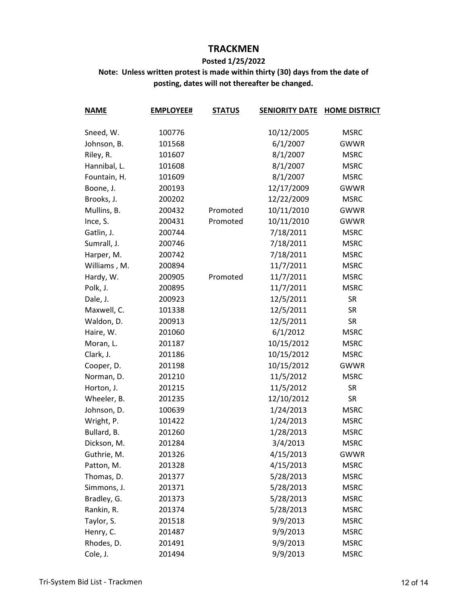#### **Posted 1/25/2022**

| <b>NAME</b>  | <b>EMPLOYEE#</b> | <b>STATUS</b> | <b>SENIORITY DATE</b> | <b>HOME DISTRICT</b> |
|--------------|------------------|---------------|-----------------------|----------------------|
|              |                  |               |                       |                      |
| Sneed, W.    | 100776           |               | 10/12/2005            | <b>MSRC</b>          |
| Johnson, B.  | 101568           |               | 6/1/2007              | <b>GWWR</b>          |
| Riley, R.    | 101607           |               | 8/1/2007              | <b>MSRC</b>          |
| Hannibal, L. | 101608           |               | 8/1/2007              | <b>MSRC</b>          |
| Fountain, H. | 101609           |               | 8/1/2007              | <b>MSRC</b>          |
| Boone, J.    | 200193           |               | 12/17/2009            | <b>GWWR</b>          |
| Brooks, J.   | 200202           |               | 12/22/2009            | <b>MSRC</b>          |
| Mullins, B.  | 200432           | Promoted      | 10/11/2010            | <b>GWWR</b>          |
| Ince, S.     | 200431           | Promoted      | 10/11/2010            | <b>GWWR</b>          |
| Gatlin, J.   | 200744           |               | 7/18/2011             | <b>MSRC</b>          |
| Sumrall, J.  | 200746           |               | 7/18/2011             | <b>MSRC</b>          |
| Harper, M.   | 200742           |               | 7/18/2011             | <b>MSRC</b>          |
| Williams, M. | 200894           |               | 11/7/2011             | <b>MSRC</b>          |
| Hardy, W.    | 200905           | Promoted      | 11/7/2011             | <b>MSRC</b>          |
| Polk, J.     | 200895           |               | 11/7/2011             | <b>MSRC</b>          |
| Dale, J.     | 200923           |               | 12/5/2011             | <b>SR</b>            |
| Maxwell, C.  | 101338           |               | 12/5/2011             | <b>SR</b>            |
| Waldon, D.   | 200913           |               | 12/5/2011             | <b>SR</b>            |
| Haire, W.    | 201060           |               | 6/1/2012              | <b>MSRC</b>          |
| Moran, L.    | 201187           |               | 10/15/2012            | <b>MSRC</b>          |
| Clark, J.    | 201186           |               | 10/15/2012            | <b>MSRC</b>          |
| Cooper, D.   | 201198           |               | 10/15/2012            | <b>GWWR</b>          |
| Norman, D.   | 201210           |               | 11/5/2012             | <b>MSRC</b>          |
| Horton, J.   | 201215           |               | 11/5/2012             | <b>SR</b>            |
| Wheeler, B.  | 201235           |               | 12/10/2012            | <b>SR</b>            |
| Johnson, D.  | 100639           |               | 1/24/2013             | <b>MSRC</b>          |
| Wright, P.   | 101422           |               | 1/24/2013             | <b>MSRC</b>          |
| Bullard, B.  | 201260           |               | 1/28/2013             | <b>MSRC</b>          |
| Dickson, M.  | 201284           |               | 3/4/2013              | <b>MSRC</b>          |
| Guthrie, M.  | 201326           |               | 4/15/2013             | <b>GWWR</b>          |
| Patton, M.   | 201328           |               | 4/15/2013             | <b>MSRC</b>          |
| Thomas, D.   | 201377           |               | 5/28/2013             | <b>MSRC</b>          |
| Simmons, J.  | 201371           |               | 5/28/2013             | <b>MSRC</b>          |
| Bradley, G.  | 201373           |               | 5/28/2013             | <b>MSRC</b>          |
| Rankin, R.   | 201374           |               | 5/28/2013             | <b>MSRC</b>          |
| Taylor, S.   | 201518           |               | 9/9/2013              | <b>MSRC</b>          |
| Henry, C.    | 201487           |               | 9/9/2013              | <b>MSRC</b>          |
| Rhodes, D.   | 201491           |               | 9/9/2013              | <b>MSRC</b>          |
| Cole, J.     | 201494           |               | 9/9/2013              | <b>MSRC</b>          |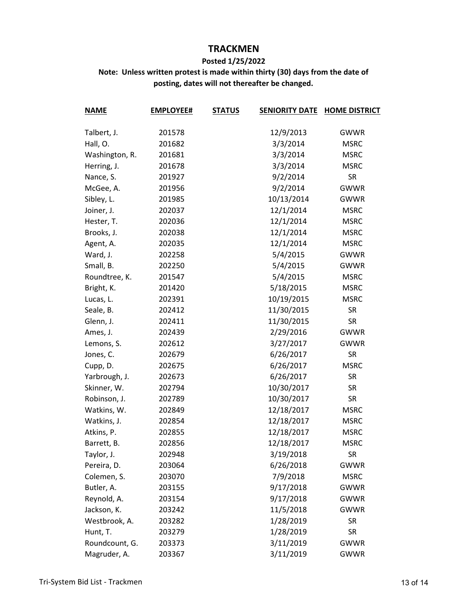#### **Posted 1/25/2022**

| <b>NAME</b>    | <b>EMPLOYEE#</b> | <b>STATUS</b> | <b>SENIORITY DATE</b> | <b>HOME DISTRICT</b> |
|----------------|------------------|---------------|-----------------------|----------------------|
|                |                  |               |                       |                      |
| Talbert, J.    | 201578           |               | 12/9/2013             | <b>GWWR</b>          |
| Hall, O.       | 201682           |               | 3/3/2014              | <b>MSRC</b>          |
| Washington, R. | 201681           |               | 3/3/2014              | <b>MSRC</b>          |
| Herring, J.    | 201678           |               | 3/3/2014              | <b>MSRC</b>          |
| Nance, S.      | 201927           |               | 9/2/2014              | <b>SR</b>            |
| McGee, A.      | 201956           |               | 9/2/2014              | <b>GWWR</b>          |
| Sibley, L.     | 201985           |               | 10/13/2014            | <b>GWWR</b>          |
| Joiner, J.     | 202037           |               | 12/1/2014             | <b>MSRC</b>          |
| Hester, T.     | 202036           |               | 12/1/2014             | <b>MSRC</b>          |
| Brooks, J.     | 202038           |               | 12/1/2014             | <b>MSRC</b>          |
| Agent, A.      | 202035           |               | 12/1/2014             | <b>MSRC</b>          |
| Ward, J.       | 202258           |               | 5/4/2015              | <b>GWWR</b>          |
| Small, B.      | 202250           |               | 5/4/2015              | <b>GWWR</b>          |
| Roundtree, K.  | 201547           |               | 5/4/2015              | <b>MSRC</b>          |
| Bright, K.     | 201420           |               | 5/18/2015             | <b>MSRC</b>          |
| Lucas, L.      | 202391           |               | 10/19/2015            | <b>MSRC</b>          |
| Seale, B.      | 202412           |               | 11/30/2015            | <b>SR</b>            |
| Glenn, J.      | 202411           |               | 11/30/2015            | <b>SR</b>            |
| Ames, J.       | 202439           |               | 2/29/2016             | <b>GWWR</b>          |
| Lemons, S.     | 202612           |               | 3/27/2017             | <b>GWWR</b>          |
| Jones, C.      | 202679           |               | 6/26/2017             | <b>SR</b>            |
| Cupp, D.       | 202675           |               | 6/26/2017             | <b>MSRC</b>          |
| Yarbrough, J.  | 202673           |               | 6/26/2017             | <b>SR</b>            |
| Skinner, W.    | 202794           |               | 10/30/2017            | <b>SR</b>            |
| Robinson, J.   | 202789           |               | 10/30/2017            | <b>SR</b>            |
| Watkins, W.    | 202849           |               | 12/18/2017            | <b>MSRC</b>          |
| Watkins, J.    | 202854           |               | 12/18/2017            | <b>MSRC</b>          |
| Atkins, P.     | 202855           |               | 12/18/2017            | <b>MSRC</b>          |
| Barrett, B.    | 202856           |               | 12/18/2017            | <b>MSRC</b>          |
| Taylor, J.     | 202948           |               | 3/19/2018             | <b>SR</b>            |
| Pereira, D.    | 203064           |               | 6/26/2018             | <b>GWWR</b>          |
| Colemen, S.    | 203070           |               | 7/9/2018              | <b>MSRC</b>          |
| Butler, A.     | 203155           |               | 9/17/2018             | <b>GWWR</b>          |
| Reynold, A.    | 203154           |               | 9/17/2018             | <b>GWWR</b>          |
| Jackson, K.    | 203242           |               | 11/5/2018             | <b>GWWR</b>          |
| Westbrook, A.  | 203282           |               | 1/28/2019             | <b>SR</b>            |
| Hunt, T.       | 203279           |               | 1/28/2019             | <b>SR</b>            |
| Roundcount, G. | 203373           |               | 3/11/2019             | <b>GWWR</b>          |
| Magruder, A.   | 203367           |               | 3/11/2019             | <b>GWWR</b>          |